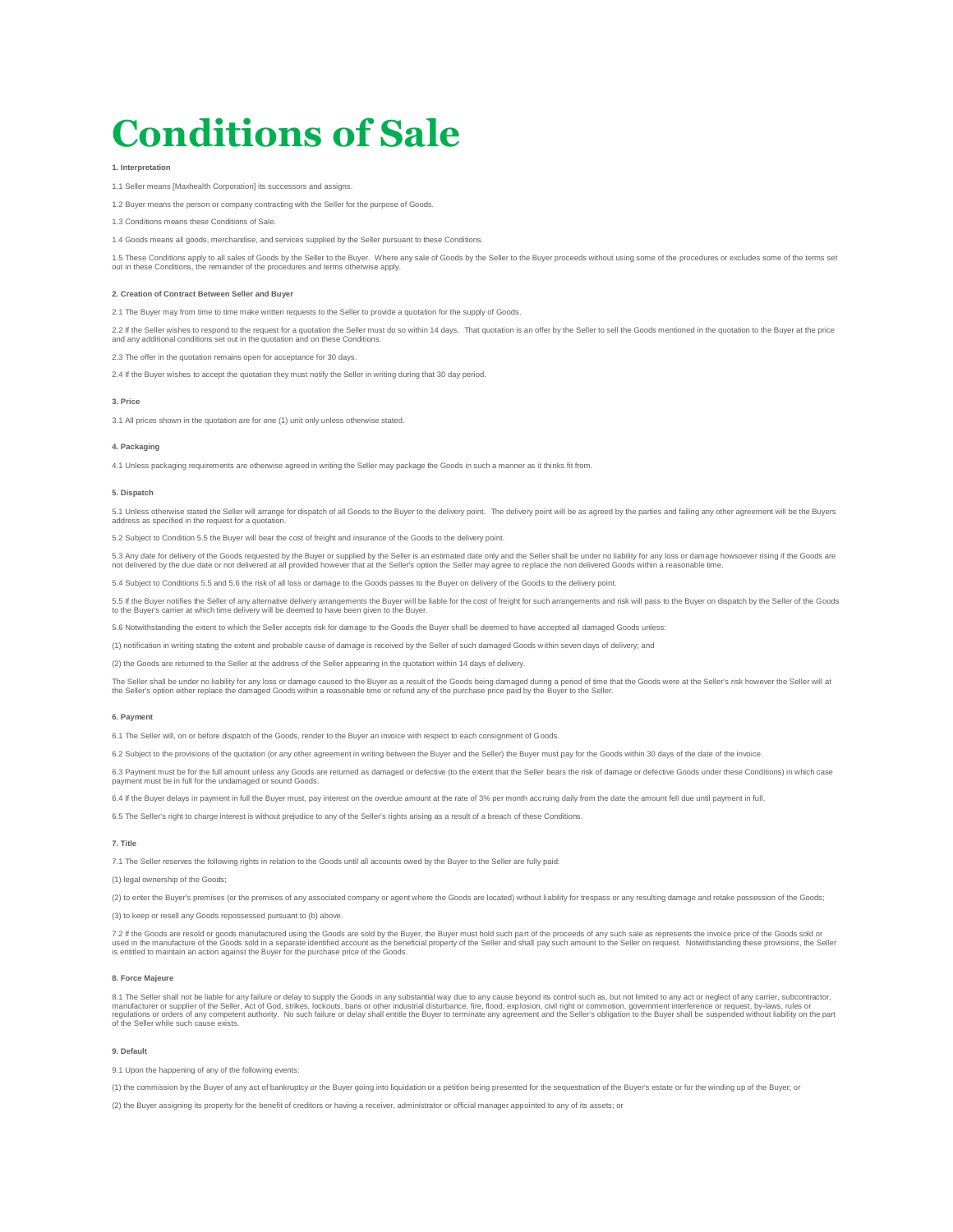# **Conditions of Sale**

## **1. Interpretation**

1.1 Seller means [Maxhealth Corporation] its successors and assigns.

er means the person or company contracting with the Seller for the purpose of Goods.

1.3 Conditions means these Conditions of Sale.

1.4 Goods means all goods, merchandise, and services supplied by the Seller pursuant to these Conditions.

1.5 These Conditions apply to all sales of Goods by the Seller to the Buyer. Where any sale of Goods by the Seller to the Buyer proceeds without using some of the procedures or excludes some of the terms set<br>out in these C

#### **2. Creation of Contract Between Seller and Buyer**

2.1 The Buyer may from time to time make written requests to the Seller to provide a quotation for the supply of Goods.

2.2 If the Seller wishes to respond to the request for a quotation the Seller must do so within 14 days. That quotation is an offer by the Seller to sell the Goods mentioned in the quotation to the Buyer at the price and any additional conditions set out in the quotation and on these Conditions.

2.3 The offer in the quotation remains open for acceptance for 30 days.

2.4 If the Buyer wishes to accept the quotation they must notify the Seller in writing during that 30 day period.

#### **3. Price**

3.1 All prices shown in the quotation are for one (1) unit only unless otherwise stated.

# **4. Packaging**

4.1 Unless packaging requirements are otherwise agreed in writing the Seller may package the Goods in such a manner as it thinks fit from.

## **5. Dispatch**

5.1 Unless otherwise stated the Seller will arrange for dispatch of all Goods to the Buyer to the delivery point. The delivery point will be as agreed by the parties and failing any other agreement will be the Buyers address as specified in the request for a quotation.

5.2 Subject to Condition 5.5 the Buyer will bear the cost of freight and insurance of the Goods to the delivery point.

5.3 Any date for delivery of the Goods requested by the Buyer or supplied by the Seller is an estimated date only and the Seller shall be under no liability for any loss or damage howsoever rising if the Goods are not delivered by the due date or not delivered at all provided however that at the Seller's option the Seller may agree to replace the non delivered Goods within a reasonable time.

5.4 Subject to Conditions 5.5 and 5.6 the risk of all loss or damage to the Goods passes to the Buyer on delivery of the Goods to the delivery point.

5.5 If the Buyer notifies the Seller of any alternative delivery arrangements the Buyer will be liable for the cost of freight for such arrangements and risk will pass to the Buyer on dispatch by the Seller of the Goods<br>to

5.6 Notwithstanding the extent to which the Seller accepts risk for damage to the Goods the Buyer shall be deemed to have accepted all damaged Goods unless:

(1) notification in writing stating the extent and probable cause of damage is received by the Seller of such damaged Goods within seven days of delivery; and

(2) the Goods are returned to the Seller at the address of the Seller appearing in the quotation within 14 days of delivery.

The Seller shall be under no liability for any loss or damage caused to the Buyer as a result of the Goods being damaged during a period of time that the Goods were at the Seller's risk however the Seller will at<br>the Selle

## **6. Payment**

6.1 The Seller will, on or before dispatch of the Goods, render to the Buyer an invoice with respect to each consignment of Goods.

6.2 Subject to the provisions of the quotation (or any other agreement in writing between the Buyer and the Seller) the Buyer must pay for the Goods within 30 days of the date of the invoice.

6.3 Payment must be for the full amount unless any Goods are returned as damaged or defective (to the extent that the Seller bears the risk of damage or defective Goods under these Conditions) in which case payment must be in full for the undamaged or sound Goods.

6.4 If the Buyer delays in payment in full the Buyer must, pay interest on the overdue amount at the rate of 3% per month accruing daily from the date the amount fell due until payment in full.

6.5 The Seller's right to charge interest is without prejudice to any of the Seller's rights arising as a result of a breach of these Conditions.

# **7. Title**

7.1 The Seller reserves the following rights in relation to the Goods until all accounts owed by the Buyer to the Seller are fully paid:

(1) legal ownership of the Goods;

(2) to enter the Buyer's premises (or the premises of any associated company or agent where the Goods are located) without liability for trespass or any resulting damage and retake possession of the Goods;

(3) to keep or resell any Goods repossessed pursuant to (b) above.

7.2 If the Goods are resold or goods manufactured using the Goods are sold by the Buyer, the Buyer must hold such part of the proceeds of any such sale as represents the invoice price of the Goods sold or<br>used in the manuf is entitled to maintain an action against the Buyer for the purchase price of the Goods.

#### **8. Force Majeure**

8.1 The Seller shall not be liable for any failure or delay to supply the Goods in any substantial way due to any cause beyond its control such as, but not limited to any act or neglect of any carrier, subcontractor,<br>manuf of the Seller while such cause exists.

# **9. Default**

9.1 Upon the happening of any of the following events:

(1) the commission by the Buyer of any act of bankruptcy or the Buyer going into liquidation or a petition being presented for the sequestration of the Buyer's estate or for the winding up of the Buyer; or

(2) the Buyer assigning its property for the benefit of creditors or having a receiver, administrator or official manager appointed to any of its assets; or